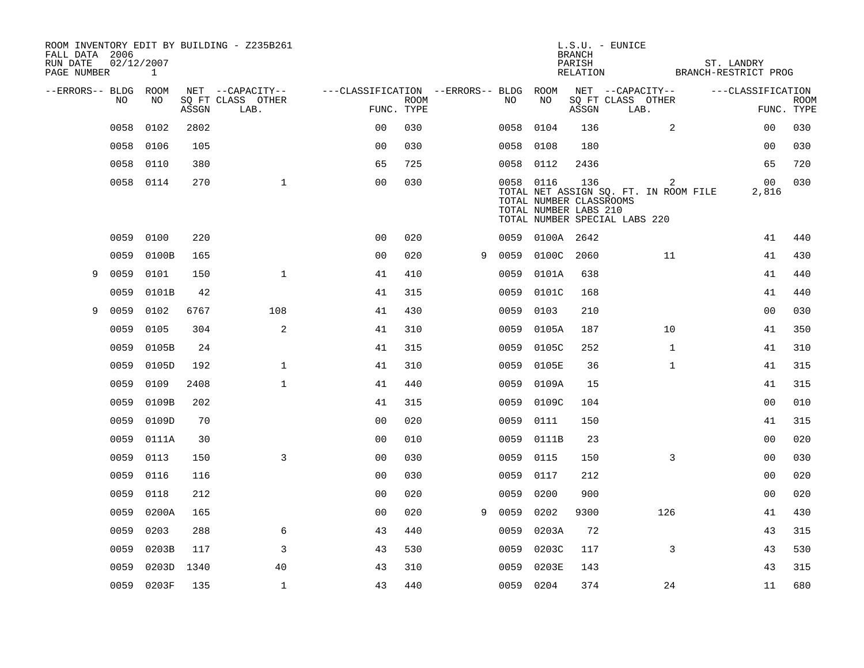| FALL DATA 2006<br>RUN DATE<br>PAGE NUMBER | 02/12/2007 | $\mathbf{1}$ |       | ROOM INVENTORY EDIT BY BUILDING - Z235B261 |                                   |             |   |           |                                                  | <b>BRANCH</b><br>PARISH<br>RELATION | $L.S.U. - EUNICE$<br>BRANCH-RESTRICT PROG                                   | ST. LANDRY              |                           |
|-------------------------------------------|------------|--------------|-------|--------------------------------------------|-----------------------------------|-------------|---|-----------|--------------------------------------------------|-------------------------------------|-----------------------------------------------------------------------------|-------------------------|---------------------------|
| --ERRORS-- BLDG ROOM                      |            |              |       | NET --CAPACITY--                           | ---CLASSIFICATION --ERRORS-- BLDG |             |   |           | ROOM                                             |                                     | NET --CAPACITY--                                                            | ---CLASSIFICATION       |                           |
|                                           | NO.        | NO.          | ASSGN | SO FT CLASS OTHER<br>LAB.                  | FUNC. TYPE                        | <b>ROOM</b> |   | NO.       | NO                                               | ASSGN                               | SQ FT CLASS OTHER<br>LAB.                                                   |                         | <b>ROOM</b><br>FUNC. TYPE |
|                                           | 0058       | 0102         | 2802  |                                            | 0 <sub>0</sub>                    | 030         |   | 0058      | 0104                                             | 136                                 | $\overline{2}$                                                              | 00                      | 030                       |
|                                           | 0058       | 0106         | 105   |                                            | 0 <sub>0</sub>                    | 030         |   | 0058      | 0108                                             | 180                                 |                                                                             | 0 <sub>0</sub>          | 030                       |
|                                           | 0058       | 0110         | 380   |                                            | 65                                | 725         |   | 0058 0112 |                                                  | 2436                                |                                                                             | 65                      | 720                       |
|                                           |            | 0058 0114    | 270   | $\mathbf{1}$                               | 0 <sub>0</sub>                    | 030         |   | 0058 0116 | TOTAL NUMBER CLASSROOMS<br>TOTAL NUMBER LABS 210 | 136                                 | 2<br>TOTAL NET ASSIGN SQ. FT. IN ROOM FILE<br>TOTAL NUMBER SPECIAL LABS 220 | 0 <sub>0</sub><br>2,816 | 030                       |
|                                           | 0059       | 0100         | 220   |                                            | 0 <sub>0</sub>                    | 020         |   |           | 0059 0100A 2642                                  |                                     |                                                                             | 41                      | 440                       |
|                                           | 0059       | 0100B        | 165   |                                            | 0 <sub>0</sub>                    | 020         | 9 | 0059      | 0100C                                            | 2060                                | 11                                                                          | 41                      | 430                       |
| 9                                         | 0059       | 0101         | 150   | $\mathbf{1}$                               | 41                                | 410         |   | 0059      | 0101A                                            | 638                                 |                                                                             | 41                      | 440                       |
|                                           | 0059       | 0101B        | 42    |                                            | 41                                | 315         |   | 0059      | 0101C                                            | 168                                 |                                                                             | 41                      | 440                       |
| 9                                         | 0059       | 0102         | 6767  | 108                                        | 41                                | 430         |   | 0059      | 0103                                             | 210                                 |                                                                             | 00                      | 030                       |
|                                           | 0059       | 0105         | 304   | 2                                          | 41                                | 310         |   | 0059      | 0105A                                            | 187                                 | 10                                                                          | 41                      | 350                       |
|                                           | 0059       | 0105B        | 24    |                                            | 41                                | 315         |   | 0059      | 0105C                                            | 252                                 | $\mathbf{1}$                                                                | 41                      | 310                       |
|                                           | 0059       | 0105D        | 192   | $\mathbf{1}$                               | 41                                | 310         |   | 0059      | 0105E                                            | 36                                  | $\mathbf{1}$                                                                | 41                      | 315                       |
|                                           | 0059       | 0109         | 2408  | $\mathbf{1}$                               | 41                                | 440         |   | 0059      | 0109A                                            | 15                                  |                                                                             | 41                      | 315                       |
|                                           | 0059       | 0109B        | 202   |                                            | 41                                | 315         |   | 0059      | 0109C                                            | 104                                 |                                                                             | 00                      | 010                       |
|                                           | 0059       | 0109D        | 70    |                                            | 0 <sub>0</sub>                    | 020         |   | 0059      | 0111                                             | 150                                 |                                                                             | 41                      | 315                       |
|                                           | 0059       | 0111A        | 30    |                                            | 0 <sub>0</sub>                    | 010         |   | 0059      | 0111B                                            | 23                                  |                                                                             | 00                      | 020                       |
|                                           | 0059       | 0113         | 150   | 3                                          | 0 <sub>0</sub>                    | 030         |   | 0059      | 0115                                             | 150                                 | 3                                                                           | 00                      | 030                       |
|                                           | 0059       | 0116         | 116   |                                            | 0 <sub>0</sub>                    | 030         |   | 0059      | 0117                                             | 212                                 |                                                                             | 0 <sub>0</sub>          | 020                       |
|                                           | 0059       | 0118         | 212   |                                            | 0 <sub>0</sub>                    | 020         |   | 0059      | 0200                                             | 900                                 |                                                                             | 00                      | 020                       |
|                                           | 0059       | 0200A        | 165   |                                            | 00                                | 020         | 9 | 0059      | 0202                                             | 9300                                | 126                                                                         | 41                      | 430                       |
|                                           | 0059       | 0203         | 288   | 6                                          | 43                                | 440         |   | 0059      | 0203A                                            | 72                                  |                                                                             | 43                      | 315                       |
|                                           | 0059       | 0203B        | 117   | 3                                          | 43                                | 530         |   | 0059      | 0203C                                            | 117                                 | 3                                                                           | 43                      | 530                       |
|                                           | 0059       | 0203D        | 1340  | 40                                         | 43                                | 310         |   | 0059      | 0203E                                            | 143                                 |                                                                             | 43                      | 315                       |
|                                           |            | 0059 0203F   | 135   | $\mathbf{1}$                               | 43                                | 440         |   | 0059 0204 |                                                  | 374                                 | 24                                                                          | 11                      | 680                       |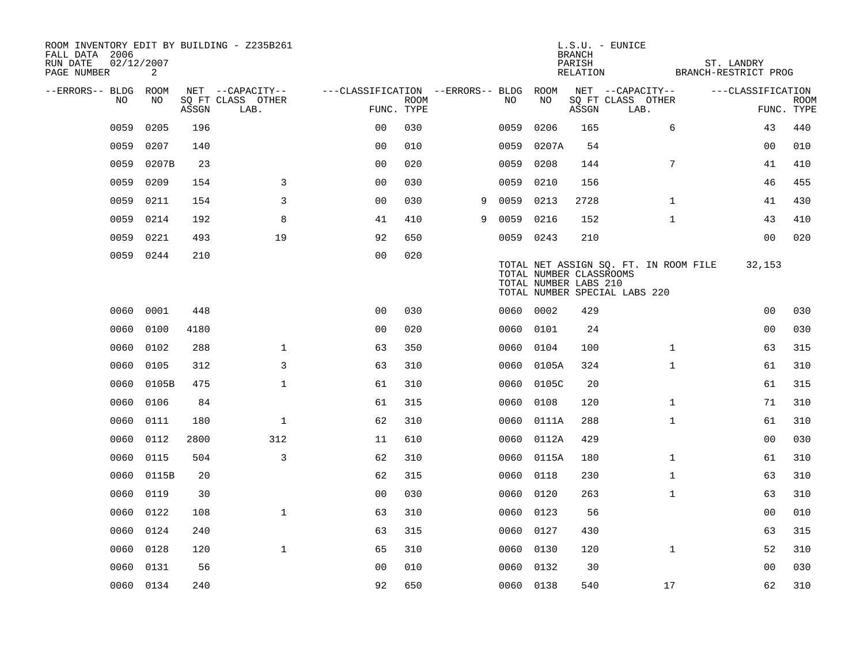| ROOM INVENTORY EDIT BY BUILDING - Z235B261<br>FALL DATA 2006<br>RUN DATE<br>PAGE NUMBER | 02/12/2007<br>2 |       |                                       |                                        |             |   |           |            | <b>BRANCH</b><br>PARISH<br>RELATION              | $L.S.U. - EUNICE$                                                      | ST. LANDRY<br>BRANCH-RESTRICT PROG |             |
|-----------------------------------------------------------------------------------------|-----------------|-------|---------------------------------------|----------------------------------------|-------------|---|-----------|------------|--------------------------------------------------|------------------------------------------------------------------------|------------------------------------|-------------|
|                                                                                         |                 |       |                                       |                                        |             |   |           |            |                                                  |                                                                        |                                    |             |
| --ERRORS-- BLDG ROOM<br>NO                                                              | NO              |       | NET --CAPACITY--<br>SQ FT CLASS OTHER | ---CLASSIFICATION --ERRORS-- BLDG ROOM | <b>ROOM</b> |   | NO.       | NO         |                                                  | NET --CAPACITY--<br>SQ FT CLASS OTHER                                  | ---CLASSIFICATION                  | <b>ROOM</b> |
|                                                                                         |                 | ASSGN | LAB.                                  | FUNC. TYPE                             |             |   |           |            | ASSGN                                            | LAB.                                                                   |                                    | FUNC. TYPE  |
| 0059                                                                                    | 0205            | 196   |                                       | 0 <sub>0</sub>                         | 030         |   | 0059      | 0206       | 165                                              | 6                                                                      | 43                                 | 440         |
| 0059                                                                                    | 0207            | 140   |                                       | 0 <sub>0</sub>                         | 010         |   | 0059      | 0207A      | 54                                               |                                                                        | 00                                 | 010         |
| 0059                                                                                    | 0207B           | 23    |                                       | 0 <sub>0</sub>                         | 020         |   | 0059      | 0208       | 144                                              | $7\phantom{.0}$                                                        | 41                                 | 410         |
| 0059                                                                                    | 0209            | 154   | 3                                     | 00                                     | 030         |   | 0059      | 0210       | 156                                              |                                                                        | 46                                 | 455         |
| 0059                                                                                    | 0211            | 154   | 3                                     | 00                                     | 030         | 9 | 0059      | 0213       | 2728                                             | $\mathbf{1}$                                                           | 41                                 | 430         |
| 0059                                                                                    | 0214            | 192   | 8                                     | 41                                     | 410         | 9 | 0059      | 0216       | 152                                              | $\mathbf{1}$                                                           | 43                                 | 410         |
| 0059                                                                                    | 0221            | 493   | 19                                    | 92                                     | 650         |   | 0059 0243 |            | 210                                              |                                                                        | 00                                 | 020         |
|                                                                                         | 0059 0244       | 210   |                                       | 0 <sub>0</sub>                         | 020         |   |           |            | TOTAL NUMBER CLASSROOMS<br>TOTAL NUMBER LABS 210 | TOTAL NET ASSIGN SQ. FT. IN ROOM FILE<br>TOTAL NUMBER SPECIAL LABS 220 | 32,153                             |             |
| 0060                                                                                    | 0001            | 448   |                                       | 0 <sub>0</sub>                         | 030         |   | 0060 0002 |            | 429                                              |                                                                        | 00                                 | 030         |
| 0060                                                                                    | 0100            | 4180  |                                       | 0 <sub>0</sub>                         | 020         |   | 0060 0101 |            | 24                                               |                                                                        | 0 <sub>0</sub>                     | 030         |
| 0060                                                                                    | 0102            | 288   | $\mathbf{1}$                          | 63                                     | 350         |   | 0060      | 0104       | 100                                              | $\mathbf{1}$                                                           | 63                                 | 315         |
| 0060                                                                                    | 0105            | 312   | 3                                     | 63                                     | 310         |   |           | 0060 0105A | 324                                              | $\mathbf{1}$                                                           | 61                                 | 310         |
| 0060                                                                                    | 0105B           | 475   | $\mathbf 1$                           | 61                                     | 310         |   | 0060      | 0105C      | 20                                               |                                                                        | 61                                 | 315         |
| 0060                                                                                    | 0106            | 84    |                                       | 61                                     | 315         |   | 0060      | 0108       | 120                                              | $\mathbf{1}$                                                           | 71                                 | 310         |
| 0060                                                                                    | 0111            | 180   | $\mathbf{1}$                          | 62                                     | 310         |   | 0060      | 0111A      | 288                                              | $\mathbf{1}$                                                           | 61                                 | 310         |
| 0060                                                                                    | 0112            | 2800  | 312                                   | 11                                     | 610         |   | 0060      | 0112A      | 429                                              |                                                                        | 00                                 | 030         |
| 0060                                                                                    | 0115            | 504   | 3                                     | 62                                     | 310         |   | 0060      | 0115A      | 180                                              | $\mathbf{1}$                                                           | 61                                 | 310         |
| 0060                                                                                    | 0115B           | 20    |                                       | 62                                     | 315         |   | 0060      | 0118       | 230                                              | $\mathbf{1}$                                                           | 63                                 | 310         |
| 0060                                                                                    | 0119            | 30    |                                       | 0 <sub>0</sub>                         | 030         |   | 0060      | 0120       | 263                                              | $\mathbf{1}$                                                           | 63                                 | 310         |
| 0060                                                                                    | 0122            | 108   | $\mathbf 1$                           | 63                                     | 310         |   | 0060      | 0123       | 56                                               |                                                                        | 00                                 | 010         |
| 0060                                                                                    | 0124            | 240   |                                       | 63                                     | 315         |   | 0060      | 0127       | 430                                              |                                                                        | 63                                 | 315         |
| 0060                                                                                    | 0128            | 120   | $\mathbf{1}$                          | 65                                     | 310         |   | 0060      | 0130       | 120                                              | $\mathbf{1}$                                                           | 52                                 | 310         |
| 0060                                                                                    | 0131            | 56    |                                       | 0 <sub>0</sub>                         | 010         |   | 0060      | 0132       | 30                                               |                                                                        | 0 <sub>0</sub>                     | 030         |
|                                                                                         | 0060 0134       | 240   |                                       | 92                                     | 650         |   | 0060 0138 |            | 540                                              | 17                                                                     | 62                                 | 310         |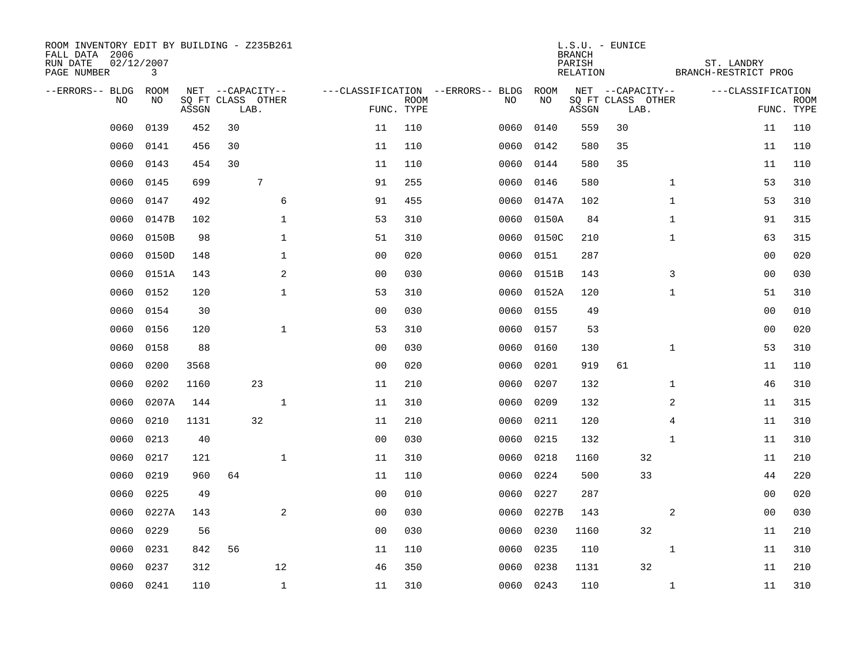| ROOM INVENTORY EDIT BY BUILDING - Z235B261<br>FALL DATA 2006<br>RUN DATE<br>PAGE NUMBER | 02/12/2007<br>3 |       |                           |              |                                   |                           |      |            | <b>BRANCH</b><br>PARISH<br>RELATION | $L.S.U. - EUNICE$         |              | ST. LANDRY<br>BRANCH-RESTRICT PROG |                           |
|-----------------------------------------------------------------------------------------|-----------------|-------|---------------------------|--------------|-----------------------------------|---------------------------|------|------------|-------------------------------------|---------------------------|--------------|------------------------------------|---------------------------|
| --ERRORS-- BLDG                                                                         | ROOM            |       | NET --CAPACITY--          |              | ---CLASSIFICATION --ERRORS-- BLDG |                           |      | ROOM       |                                     | NET --CAPACITY--          |              | ---CLASSIFICATION                  |                           |
| NO                                                                                      | NO              | ASSGN | SQ FT CLASS OTHER<br>LAB. |              |                                   | <b>ROOM</b><br>FUNC. TYPE | NO   | NO         | ASSGN                               | SQ FT CLASS OTHER<br>LAB. |              |                                    | <b>ROOM</b><br>FUNC. TYPE |
| 0060                                                                                    | 0139            | 452   | 30                        |              | 11                                | 110                       | 0060 | 0140       | 559                                 | 30                        |              | 11                                 | 110                       |
| 0060                                                                                    | 0141            | 456   | 30                        |              | 11                                | 110                       | 0060 | 0142       | 580                                 | 35                        |              | 11                                 | 110                       |
| 0060                                                                                    | 0143            | 454   | 30                        |              | 11                                | 110                       | 0060 | 0144       | 580                                 | 35                        |              | 11                                 | 110                       |
| 0060                                                                                    | 0145            | 699   | $\overline{7}$            |              | 91                                | 255                       | 0060 | 0146       | 580                                 |                           | $\mathbf{1}$ | 53                                 | 310                       |
| 0060                                                                                    | 0147            | 492   |                           | 6            | 91                                | 455                       | 0060 | 0147A      | 102                                 |                           | $\mathbf{1}$ | 53                                 | 310                       |
| 0060                                                                                    | 0147B           | 102   |                           | $\mathbf 1$  | 53                                | 310                       |      | 0060 0150A | 84                                  |                           | $\mathbf{1}$ | 91                                 | 315                       |
| 0060                                                                                    | 0150B           | 98    |                           | $\mathbf{1}$ | 51                                | 310                       | 0060 | 0150C      | 210                                 |                           | $\mathbf{1}$ | 63                                 | 315                       |
| 0060                                                                                    | 0150D           | 148   |                           | $\mathbf{1}$ | 0 <sub>0</sub>                    | 020                       | 0060 | 0151       | 287                                 |                           |              | 0 <sub>0</sub>                     | 020                       |
| 0060                                                                                    | 0151A           | 143   |                           | 2            | 0 <sub>0</sub>                    | 030                       | 0060 | 0151B      | 143                                 |                           | 3            | 0 <sub>0</sub>                     | 030                       |
| 0060                                                                                    | 0152            | 120   |                           | $\mathbf{1}$ | 53                                | 310                       |      | 0060 0152A | 120                                 |                           | $\mathbf{1}$ | 51                                 | 310                       |
| 0060                                                                                    | 0154            | 30    |                           |              | 0 <sub>0</sub>                    | 030                       | 0060 | 0155       | 49                                  |                           |              | 00                                 | 010                       |
| 0060                                                                                    | 0156            | 120   |                           | $\mathbf{1}$ | 53                                | 310                       | 0060 | 0157       | 53                                  |                           |              | 0 <sub>0</sub>                     | 020                       |
| 0060                                                                                    | 0158            | 88    |                           |              | 0 <sub>0</sub>                    | 030                       | 0060 | 0160       | 130                                 |                           | $\mathbf{1}$ | 53                                 | 310                       |
| 0060                                                                                    | 0200            | 3568  |                           |              | 0 <sub>0</sub>                    | 020                       | 0060 | 0201       | 919                                 | 61                        |              | 11                                 | 110                       |
| 0060                                                                                    | 0202            | 1160  | 23                        |              | 11                                | 210                       | 0060 | 0207       | 132                                 |                           | $\mathbf{1}$ | 46                                 | 310                       |
| 0060                                                                                    | 0207A           | 144   |                           | $\mathbf{1}$ | 11                                | 310                       | 0060 | 0209       | 132                                 |                           | 2            | 11                                 | 315                       |
| 0060                                                                                    | 0210            | 1131  | 32                        |              | 11                                | 210                       | 0060 | 0211       | 120                                 |                           | 4            | 11                                 | 310                       |
| 0060                                                                                    | 0213            | 40    |                           |              | 0 <sub>0</sub>                    | 030                       | 0060 | 0215       | 132                                 |                           | $\mathbf{1}$ | 11                                 | 310                       |
| 0060                                                                                    | 0217            | 121   |                           | $\mathbf 1$  | 11                                | 310                       | 0060 | 0218       | 1160                                | 32                        |              | 11                                 | 210                       |
| 0060                                                                                    | 0219            | 960   | 64                        |              | 11                                | 110                       | 0060 | 0224       | 500                                 | 33                        |              | 44                                 | 220                       |
| 0060                                                                                    | 0225            | 49    |                           |              | 0 <sub>0</sub>                    | 010                       | 0060 | 0227       | 287                                 |                           |              | 0 <sub>0</sub>                     | 020                       |
| 0060                                                                                    | 0227A           | 143   |                           | 2            | 0 <sub>0</sub>                    | 030                       | 0060 | 0227B      | 143                                 |                           | 2            | 00                                 | 030                       |
| 0060                                                                                    | 0229            | 56    |                           |              | 0 <sub>0</sub>                    | 030                       | 0060 | 0230       | 1160                                | 32                        |              | 11                                 | 210                       |
| 0060                                                                                    | 0231            | 842   | 56                        |              | 11                                | 110                       | 0060 | 0235       | 110                                 |                           | $\mathbf{1}$ | 11                                 | 310                       |
| 0060                                                                                    | 0237            | 312   |                           | 12           | 46                                | 350                       | 0060 | 0238       | 1131                                | 32                        |              | 11                                 | 210                       |
| 0060                                                                                    | 0241            | 110   |                           | $\mathbf{1}$ | 11                                | 310                       |      | 0060 0243  | 110                                 |                           | $\mathbf{1}$ | 11                                 | 310                       |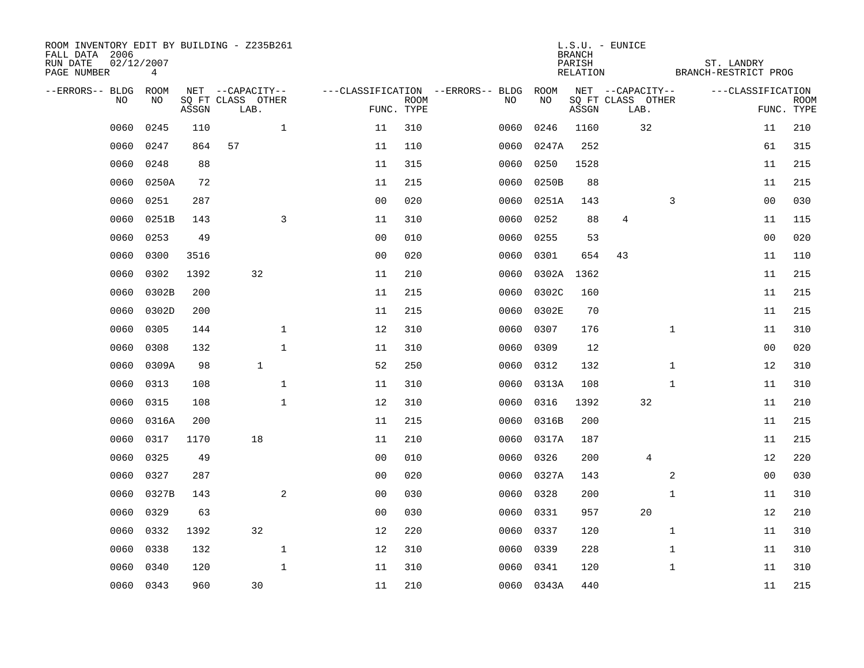| ROOM INVENTORY EDIT BY BUILDING - Z235B261<br>FALL DATA 2006<br>RUN DATE<br>PAGE NUMBER | 02/12/2007<br>4 |       |                           |                |             |                                   |            | <b>BRANCH</b><br>PARISH<br>RELATION | $L.S.U. - EUNICE$         | ST. LANDRY<br>BRANCH-RESTRICT PROG |                |                           |
|-----------------------------------------------------------------------------------------|-----------------|-------|---------------------------|----------------|-------------|-----------------------------------|------------|-------------------------------------|---------------------------|------------------------------------|----------------|---------------------------|
| --ERRORS-- BLDG                                                                         | ROOM            |       | NET --CAPACITY--          |                |             | ---CLASSIFICATION --ERRORS-- BLDG | ROOM       |                                     | NET --CAPACITY--          | ---CLASSIFICATION                  |                |                           |
| N <sub>O</sub>                                                                          | NO.             | ASSGN | SO FT CLASS OTHER<br>LAB. | FUNC. TYPE     | <b>ROOM</b> | NO.                               | NO         | ASSGN                               | SQ FT CLASS OTHER<br>LAB. |                                    |                | <b>ROOM</b><br>FUNC. TYPE |
| 0060                                                                                    | 0245            | 110   | $\mathbf{1}$              | 11             | 310         | 0060                              | 0246       | 1160                                | 32                        |                                    | 11             | 210                       |
| 0060                                                                                    | 0247            | 864   | 57                        | 11             | 110         | 0060                              | 0247A      | 252                                 |                           |                                    | 61             | 315                       |
| 0060                                                                                    | 0248            | 88    |                           | 11             | 315         | 0060                              | 0250       | 1528                                |                           |                                    | 11             | 215                       |
| 0060                                                                                    | 0250A           | 72    |                           | 11             | 215         | 0060                              | 0250B      | 88                                  |                           |                                    | 11             | 215                       |
| 0060                                                                                    | 0251            | 287   |                           | 00             | 020         | 0060                              | 0251A      | 143                                 |                           | 3                                  | 00             | 030                       |
| 0060                                                                                    | 0251B           | 143   | 3                         | 11             | 310         | 0060                              | 0252       | 88                                  | 4                         |                                    | 11             | 115                       |
| 0060                                                                                    | 0253            | 49    |                           | 0 <sub>0</sub> | 010         | 0060                              | 0255       | 53                                  |                           |                                    | 00             | 020                       |
| 0060                                                                                    | 0300            | 3516  |                           | 0 <sub>0</sub> | 020         | 0060                              | 0301       | 654                                 | 43                        |                                    | 11             | 110                       |
| 0060                                                                                    | 0302            | 1392  | 32                        | 11             | 210         | 0060                              | 0302A      | 1362                                |                           |                                    | 11             | 215                       |
| 0060                                                                                    | 0302B           | 200   |                           | 11             | 215         | 0060                              | 0302C      | 160                                 |                           |                                    | 11             | 215                       |
| 0060                                                                                    | 0302D           | 200   |                           | 11             | 215         | 0060                              | 0302E      | 70                                  |                           |                                    | 11             | 215                       |
| 0060                                                                                    | 0305            | 144   | $\mathbf{1}$              | 12             | 310         | 0060                              | 0307       | 176                                 |                           | $\mathbf{1}$                       | 11             | 310                       |
| 0060                                                                                    | 0308            | 132   | $\mathbf{1}$              | 11             | 310         | 0060                              | 0309       | 12                                  |                           |                                    | 0 <sub>0</sub> | 020                       |
| 0060                                                                                    | 0309A           | 98    | $\mathbf{1}$              | 52             | 250         | 0060                              | 0312       | 132                                 |                           | $\mathbf{1}$                       | 12             | 310                       |
| 0060                                                                                    | 0313            | 108   | $\mathbf{1}$              | 11             | 310         | 0060                              | 0313A      | 108                                 |                           | $\mathbf{1}$                       | 11             | 310                       |
| 0060                                                                                    | 0315            | 108   | $\mathbf 1$               | 12             | 310         | 0060                              | 0316       | 1392                                | 32                        |                                    | 11             | 210                       |
| 0060                                                                                    | 0316A           | 200   |                           | 11             | 215         | 0060                              | 0316B      | 200                                 |                           |                                    | 11             | 215                       |
| 0060                                                                                    | 0317            | 1170  | 18                        | 11             | 210         | 0060                              | 0317A      | 187                                 |                           |                                    | 11             | 215                       |
| 0060                                                                                    | 0325            | 49    |                           | 0 <sub>0</sub> | 010         | 0060                              | 0326       | 200                                 | 4                         |                                    | 12             | 220                       |
| 0060                                                                                    | 0327            | 287   |                           | 0 <sub>0</sub> | 020         | 0060                              | 0327A      | 143                                 |                           | 2                                  | 0 <sub>0</sub> | 030                       |
| 0060                                                                                    | 0327B           | 143   | 2                         | 0 <sub>0</sub> | 030         | 0060                              | 0328       | 200                                 |                           | $\mathbf{1}$                       | 11             | 310                       |
| 0060                                                                                    | 0329            | 63    |                           | 0 <sub>0</sub> | 030         | 0060                              | 0331       | 957                                 | 20                        |                                    | 12             | 210                       |
| 0060                                                                                    | 0332            | 1392  | 32                        | 12             | 220         | 0060                              | 0337       | 120                                 |                           | $\mathbf{1}$                       | 11             | 310                       |
| 0060                                                                                    | 0338            | 132   | $\mathbf{1}$              | 12             | 310         | 0060                              | 0339       | 228                                 |                           | $\mathbf{1}$                       | 11             | 310                       |
| 0060                                                                                    | 0340            | 120   | $\mathbf{1}$              | 11             | 310         | 0060                              | 0341       | 120                                 |                           | $\mathbf{1}$                       | 11             | 310                       |
|                                                                                         | 0060 0343       | 960   | 30                        | 11             | 210         |                                   | 0060 0343A | 440                                 |                           |                                    | 11             | 215                       |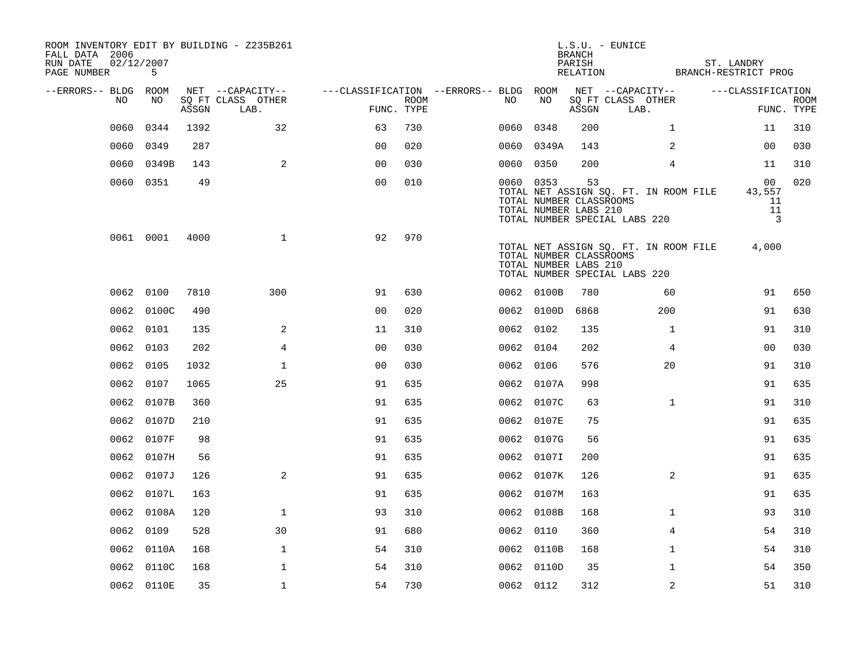| ROOM INVENTORY EDIT BY BUILDING - Z235B261<br>FALL DATA 2006<br>02/12/2007<br>RUN DATE<br>PAGE NUMBER | 5          |       |                           |                                        |      |           |                                                  | <b>BRANCH</b><br>PARISH<br>RELATION | $L.S.U. - EUNICE$<br>BRANCH-RESTRICT PROG                              | ST. LANDRY                                 |                           |
|-------------------------------------------------------------------------------------------------------|------------|-------|---------------------------|----------------------------------------|------|-----------|--------------------------------------------------|-------------------------------------|------------------------------------------------------------------------|--------------------------------------------|---------------------------|
| --ERRORS-- BLDG ROOM                                                                                  |            |       | NET --CAPACITY--          | ---CLASSIFICATION --ERRORS-- BLDG ROOM |      |           |                                                  |                                     | NET --CAPACITY--                                                       | ---CLASSIFICATION                          |                           |
| NO                                                                                                    | NO.        | ASSGN | SQ FT CLASS OTHER<br>LAB. | FUNC. TYPE                             | ROOM | NO        | NO                                               | ASSGN                               | SQ FT CLASS OTHER<br>LAB.                                              |                                            | <b>ROOM</b><br>FUNC. TYPE |
| 0060                                                                                                  | 0344       | 1392  | 32                        | 63                                     | 730  | 0060      | 0348                                             | 200                                 | $\mathbf{1}$                                                           | 11                                         | 310                       |
| 0060                                                                                                  | 0349       | 287   |                           | 0 <sub>0</sub>                         | 020  |           | 0060 0349A                                       | 143                                 | 2                                                                      | 00                                         | 030                       |
| 0060                                                                                                  | 0349B      | 143   | 2                         | 0 <sub>0</sub>                         | 030  | 0060 0350 |                                                  | 200                                 | $\overline{4}$                                                         | 11                                         | 310                       |
|                                                                                                       | 0060 0351  | 49    |                           | 0 <sub>0</sub>                         | 010  | 0060 0353 | TOTAL NUMBER CLASSROOMS<br>TOTAL NUMBER LABS 210 | 53                                  | TOTAL NET ASSIGN SQ. FT. IN ROOM FILE<br>TOTAL NUMBER SPECIAL LABS 220 | 00<br>43,557<br>11<br>11<br>$\overline{3}$ | 020                       |
|                                                                                                       | 0061 0001  | 4000  | $\mathbf{1}$              | 92                                     | 970  |           | TOTAL NUMBER CLASSROOMS<br>TOTAL NUMBER LABS 210 |                                     | TOTAL NET ASSIGN SQ. FT. IN ROOM FILE<br>TOTAL NUMBER SPECIAL LABS 220 | 4,000                                      |                           |
|                                                                                                       | 0062 0100  | 7810  | 300                       | 91                                     | 630  |           | 0062 0100B                                       | 780                                 | 60                                                                     | 91                                         | 650                       |
|                                                                                                       | 0062 0100C | 490   |                           | 0 <sub>0</sub>                         | 020  |           | 0062 0100D                                       | 6868                                | 200                                                                    | 91                                         | 630                       |
|                                                                                                       | 0062 0101  | 135   | 2                         | 11                                     | 310  | 0062 0102 |                                                  | 135                                 | $\mathbf{1}$                                                           | 91                                         | 310                       |
|                                                                                                       | 0062 0103  | 202   | $\overline{4}$            | 0 <sub>0</sub>                         | 030  | 0062 0104 |                                                  | 202                                 | 4                                                                      | 00                                         | 030                       |
|                                                                                                       | 0062 0105  | 1032  | $\mathbf 1$               | 0 <sub>0</sub>                         | 030  | 0062 0106 |                                                  | 576                                 | 20                                                                     | 91                                         | 310                       |
|                                                                                                       | 0062 0107  | 1065  | 25                        | 91                                     | 635  |           | 0062 0107A                                       | 998                                 |                                                                        | 91                                         | 635                       |
|                                                                                                       | 0062 0107B | 360   |                           | 91                                     | 635  |           | 0062 0107C                                       | 63                                  | $\mathbf{1}$                                                           | 91                                         | 310                       |
|                                                                                                       | 0062 0107D | 210   |                           | 91                                     | 635  |           | 0062 0107E                                       | 75                                  |                                                                        | 91                                         | 635                       |
|                                                                                                       | 0062 0107F | 98    |                           | 91                                     | 635  |           | 0062 0107G                                       | 56                                  |                                                                        | 91                                         | 635                       |
|                                                                                                       | 0062 0107H | 56    |                           | 91                                     | 635  |           | 0062 0107I                                       | 200                                 |                                                                        | 91                                         | 635                       |
|                                                                                                       | 0062 0107J | 126   | 2                         | 91                                     | 635  |           | 0062 0107K                                       | 126                                 | 2                                                                      | 91                                         | 635                       |
|                                                                                                       | 0062 0107L | 163   |                           | 91                                     | 635  |           | 0062 0107M                                       | 163                                 |                                                                        | 91                                         | 635                       |
|                                                                                                       | 0062 0108A | 120   | $\mathbf 1$               | 93                                     | 310  |           | 0062 0108B                                       | 168                                 | $\mathbf{1}$                                                           | 93                                         | 310                       |
|                                                                                                       | 0062 0109  | 528   | 30                        | 91                                     | 680  | 0062 0110 |                                                  | 360                                 | 4                                                                      | 54                                         | 310                       |
|                                                                                                       | 0062 0110A | 168   | $\mathbf{1}$              | 54                                     | 310  |           | 0062 0110B                                       | 168                                 | $\mathbf{1}$                                                           | 54                                         | 310                       |
|                                                                                                       | 0062 0110C | 168   | $\mathbf 1$               | 54                                     | 310  |           | 0062 0110D                                       | 35                                  | $\mathbf{1}$                                                           | 54                                         | 350                       |
|                                                                                                       | 0062 0110E | 35    | $\mathbf{1}$              | 54                                     | 730  | 0062 0112 |                                                  | 312                                 | 2                                                                      | 51                                         | 310                       |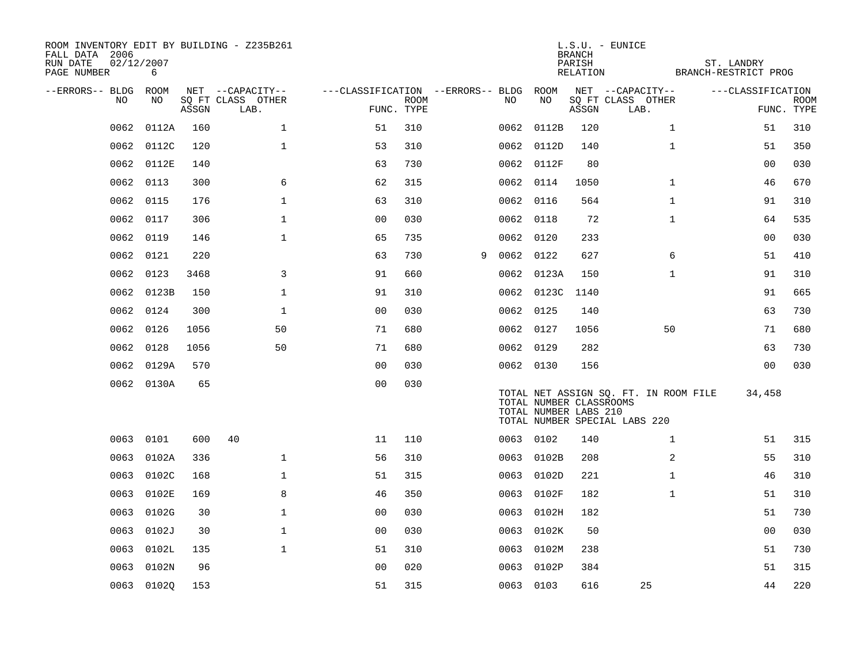| ROOM INVENTORY EDIT BY BUILDING - Z235B261<br>FALL DATA 2006<br>02/12/2007<br>RUN DATE<br>PAGE NUMBER | 6          |       |                           |                                        |             |   |           |            | <b>BRANCH</b><br>PARISH<br>RELATION              | $L.S.U. - EUNICE$                                                      | ST. LANDRY<br>BRANCH-RESTRICT PROG |                           |
|-------------------------------------------------------------------------------------------------------|------------|-------|---------------------------|----------------------------------------|-------------|---|-----------|------------|--------------------------------------------------|------------------------------------------------------------------------|------------------------------------|---------------------------|
| --ERRORS-- BLDG ROOM                                                                                  |            |       | NET --CAPACITY--          | ---CLASSIFICATION --ERRORS-- BLDG ROOM |             |   |           |            |                                                  | NET --CAPACITY--                                                       | ---CLASSIFICATION                  |                           |
| NO                                                                                                    | NO         | ASSGN | SQ FT CLASS OTHER<br>LAB. | FUNC. TYPE                             | <b>ROOM</b> |   | NO        | NO         | ASSGN                                            | SQ FT CLASS OTHER<br>LAB.                                              |                                    | <b>ROOM</b><br>FUNC. TYPE |
| 0062                                                                                                  | 0112A      | 160   | $\mathbf 1$               | 51                                     | 310         |   |           | 0062 0112B | 120                                              | $\mathbf{1}$                                                           | 51                                 | 310                       |
| 0062                                                                                                  | 0112C      | 120   | $\mathbf 1$               | 53                                     | 310         |   |           | 0062 0112D | 140                                              | $\mathbf{1}$                                                           | 51                                 | 350                       |
| 0062                                                                                                  | 0112E      | 140   |                           | 63                                     | 730         |   |           | 0062 0112F | 80                                               |                                                                        | 0 <sub>0</sub>                     | 030                       |
| 0062                                                                                                  | 0113       | 300   | 6                         | 62                                     | 315         |   | 0062 0114 |            | 1050                                             | $\mathbf{1}$                                                           | 46                                 | 670                       |
| 0062                                                                                                  | 0115       | 176   | $\mathbf{1}$              | 63                                     | 310         |   | 0062 0116 |            | 564                                              | $\mathbf{1}$                                                           | 91                                 | 310                       |
| 0062                                                                                                  | 0117       | 306   | $\mathbf{1}$              | 0 <sub>0</sub>                         | 030         |   | 0062 0118 |            | 72                                               | $\mathbf{1}$                                                           | 64                                 | 535                       |
| 0062                                                                                                  | 0119       | 146   | $\mathbf{1}$              | 65                                     | 735         |   | 0062 0120 |            | 233                                              |                                                                        | 00                                 | 030                       |
| 0062                                                                                                  | 0121       | 220   |                           | 63                                     | 730         | 9 | 0062 0122 |            | 627                                              | 6                                                                      | 51                                 | 410                       |
| 0062                                                                                                  | 0123       | 3468  | 3                         | 91                                     | 660         |   |           | 0062 0123A | 150                                              | $\mathbf{1}$                                                           | 91                                 | 310                       |
|                                                                                                       | 0062 0123B | 150   | $\mathbf 1$               | 91                                     | 310         |   |           | 0062 0123C | 1140                                             |                                                                        | 91                                 | 665                       |
| 0062                                                                                                  | 0124       | 300   | $\mathbf{1}$              | 0 <sub>0</sub>                         | 030         |   | 0062 0125 |            | 140                                              |                                                                        | 63                                 | 730                       |
| 0062                                                                                                  | 0126       | 1056  | 50                        | 71                                     | 680         |   | 0062 0127 |            | 1056                                             | 50                                                                     | 71                                 | 680                       |
| 0062                                                                                                  | 0128       | 1056  | 50                        | 71                                     | 680         |   | 0062 0129 |            | 282                                              |                                                                        | 63                                 | 730                       |
| 0062                                                                                                  | 0129A      | 570   |                           | 0 <sub>0</sub>                         | 030         |   | 0062 0130 |            | 156                                              |                                                                        | 0 <sub>0</sub>                     | 030                       |
|                                                                                                       | 0062 0130A | 65    |                           | 0 <sub>0</sub>                         | 030         |   |           |            | TOTAL NUMBER CLASSROOMS<br>TOTAL NUMBER LABS 210 | TOTAL NET ASSIGN SQ. FT. IN ROOM FILE<br>TOTAL NUMBER SPECIAL LABS 220 | 34,458                             |                           |
| 0063                                                                                                  | 0101       | 600   | 40                        | 11                                     | 110         |   | 0063 0102 |            | 140                                              | $\mathbf{1}$                                                           | 51                                 | 315                       |
| 0063                                                                                                  | 0102A      | 336   | $\mathbf 1$               | 56                                     | 310         |   |           | 0063 0102B | 208                                              | 2                                                                      | 55                                 | 310                       |
| 0063                                                                                                  | 0102C      | 168   | $\mathbf 1$               | 51                                     | 315         |   | 0063      | 0102D      | 221                                              | $\mathbf{1}$                                                           | 46                                 | 310                       |
| 0063                                                                                                  | 0102E      | 169   | 8                         | 46                                     | 350         |   |           | 0063 0102F | 182                                              | $\mathbf{1}$                                                           | 51                                 | 310                       |
| 0063                                                                                                  | 0102G      | 30    | $\mathbf{1}$              | 00                                     | 030         |   | 0063      | 0102H      | 182                                              |                                                                        | 51                                 | 730                       |
| 0063                                                                                                  | 0102J      | 30    | $\mathbf 1$               | 0 <sub>0</sub>                         | 030         |   |           | 0063 0102K | 50                                               |                                                                        | 0 <sub>0</sub>                     | 030                       |
| 0063                                                                                                  | 0102L      | 135   | $\mathbf{1}$              | 51                                     | 310         |   | 0063      | 0102M      | 238                                              |                                                                        | 51                                 | 730                       |
| 0063                                                                                                  | 0102N      | 96    |                           | 0 <sub>0</sub>                         | 020         |   | 0063      | 0102P      | 384                                              |                                                                        | 51                                 | 315                       |
|                                                                                                       | 0063 01020 | 153   |                           | 51                                     | 315         |   | 0063 0103 |            | 616                                              | 25                                                                     | 44                                 | 220                       |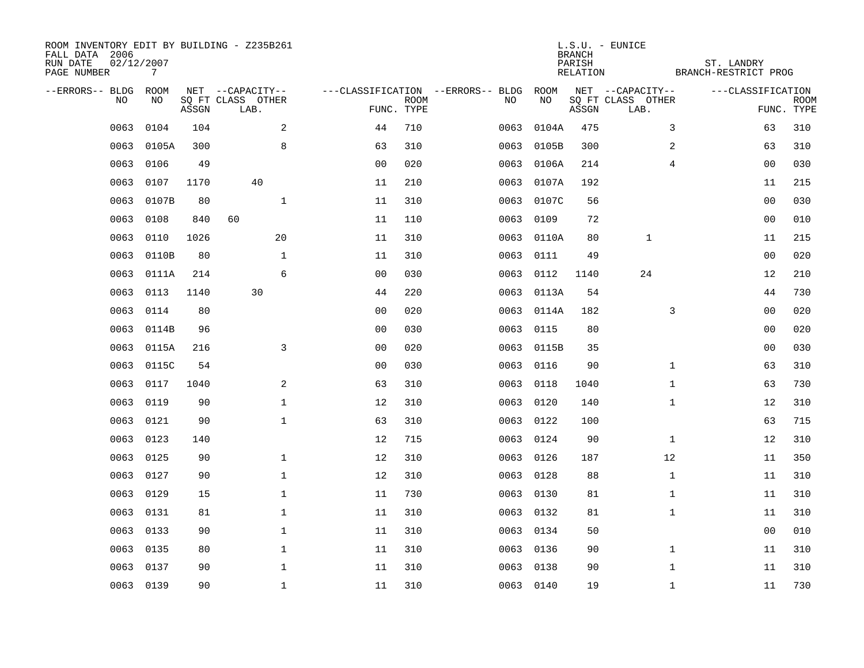| ROOM INVENTORY EDIT BY BUILDING - Z235B261<br>FALL DATA 2006<br>RUN DATE<br>PAGE NUMBER | 02/12/2007<br>$7\overline{ }$ |       |                                       |                |             |                                         |            | <b>BRANCH</b><br>PARISH<br>RELATION | $L.S.U. - EUNICE$                     | ST. LANDRY<br>BRANCH-RESTRICT PROG |                |             |
|-----------------------------------------------------------------------------------------|-------------------------------|-------|---------------------------------------|----------------|-------------|-----------------------------------------|------------|-------------------------------------|---------------------------------------|------------------------------------|----------------|-------------|
| --ERRORS-- BLDG<br>NO.                                                                  | ROOM<br>NO                    |       | NET --CAPACITY--<br>SQ FT CLASS OTHER |                | <b>ROOM</b> | ---CLASSIFICATION --ERRORS-- BLDG<br>NO | ROOM<br>NO |                                     | NET --CAPACITY--<br>SQ FT CLASS OTHER | ---CLASSIFICATION                  |                | <b>ROOM</b> |
|                                                                                         |                               | ASSGN | LAB.                                  | FUNC. TYPE     |             |                                         |            | ASSGN                               | LAB.                                  |                                    |                | FUNC. TYPE  |
| 0063                                                                                    | 0104                          | 104   | 2                                     | 44             | 710         | 0063                                    | 0104A      | 475                                 |                                       | 3                                  | 63             | 310         |
| 0063                                                                                    | 0105A                         | 300   | 8                                     | 63             | 310         | 0063                                    | 0105B      | 300                                 |                                       | 2                                  | 63             | 310         |
| 0063                                                                                    | 0106                          | 49    |                                       | 0 <sub>0</sub> | 020         | 0063                                    | 0106A      | 214                                 |                                       | 4                                  | 00             | 030         |
| 0063                                                                                    | 0107                          | 1170  | 40                                    | 11             | 210         | 0063                                    | 0107A      | 192                                 |                                       |                                    | 11             | 215         |
| 0063                                                                                    | 0107B                         | 80    | $\mathbf{1}$                          | 11             | 310         | 0063                                    | 0107C      | 56                                  |                                       |                                    | 0 <sub>0</sub> | 030         |
| 0063                                                                                    | 0108                          | 840   | 60                                    | 11             | 110         | 0063                                    | 0109       | 72                                  |                                       |                                    | 0 <sub>0</sub> | 010         |
| 0063                                                                                    | 0110                          | 1026  | 20                                    | 11             | 310         | 0063                                    | 0110A      | 80                                  | $\mathbf{1}$                          |                                    | 11             | 215         |
| 0063                                                                                    | 0110B                         | 80    | $\mathbf{1}$                          | 11             | 310         | 0063                                    | 0111       | 49                                  |                                       |                                    | 0 <sub>0</sub> | 020         |
| 0063                                                                                    | 0111A                         | 214   | 6                                     | 0 <sub>0</sub> | 030         | 0063                                    | 0112       | 1140                                | 24                                    |                                    | 12             | 210         |
| 0063                                                                                    | 0113                          | 1140  | 30                                    | 44             | 220         | 0063                                    | 0113A      | 54                                  |                                       |                                    | 44             | 730         |
| 0063                                                                                    | 0114                          | 80    |                                       | 0 <sub>0</sub> | 020         | 0063                                    | 0114A      | 182                                 |                                       | 3                                  | 0 <sub>0</sub> | 020         |
| 0063                                                                                    | 0114B                         | 96    |                                       | 0 <sub>0</sub> | 030         | 0063                                    | 0115       | 80                                  |                                       |                                    | 0 <sub>0</sub> | 020         |
| 0063                                                                                    | 0115A                         | 216   | $\mathbf{3}$                          | 0 <sub>0</sub> | 020         | 0063                                    | 0115B      | 35                                  |                                       |                                    | 00             | 030         |
| 0063                                                                                    | 0115C                         | 54    |                                       | 0 <sub>0</sub> | 030         | 0063                                    | 0116       | 90                                  |                                       | $\mathbf{1}$                       | 63             | 310         |
| 0063                                                                                    | 0117                          | 1040  | 2                                     | 63             | 310         | 0063                                    | 0118       | 1040                                |                                       | $\mathbf{1}$                       | 63             | 730         |
| 0063                                                                                    | 0119                          | 90    | $\mathbf{1}$                          | 12             | 310         | 0063                                    | 0120       | 140                                 |                                       | $\mathbf{1}$                       | 12             | 310         |
| 0063                                                                                    | 0121                          | 90    | $\mathbf{1}$                          | 63             | 310         | 0063                                    | 0122       | 100                                 |                                       |                                    | 63             | 715         |
| 0063                                                                                    | 0123                          | 140   |                                       | 12             | 715         | 0063                                    | 0124       | 90                                  |                                       | $\mathbf{1}$                       | 12             | 310         |
| 0063                                                                                    | 0125                          | 90    | $\mathbf{1}$                          | 12             | 310         | 0063                                    | 0126       | 187                                 | 12                                    |                                    | 11             | 350         |
| 0063                                                                                    | 0127                          | 90    | $\mathbf 1$                           | 12             | 310         | 0063                                    | 0128       | 88                                  |                                       | $\mathbf{1}$                       | 11             | 310         |
| 0063                                                                                    | 0129                          | 15    | $\mathbf 1$                           | 11             | 730         | 0063                                    | 0130       | 81                                  |                                       | $\mathbf{1}$                       | 11             | 310         |
| 0063                                                                                    | 0131                          | 81    | $\mathbf 1$                           | 11             | 310         | 0063                                    | 0132       | 81                                  |                                       | $\mathbf{1}$                       | 11             | 310         |
| 0063                                                                                    | 0133                          | 90    | $\mathbf 1$                           | 11             | 310         | 0063                                    | 0134       | 50                                  |                                       |                                    | 00             | 010         |
| 0063                                                                                    | 0135                          | 80    | $\mathbf 1$                           | 11             | 310         | 0063                                    | 0136       | 90                                  |                                       | $\mathbf{1}$                       | 11             | 310         |
| 0063                                                                                    | 0137                          | 90    | $\mathbf 1$                           | 11             | 310         | 0063                                    | 0138       | 90                                  |                                       | $\mathbf{1}$                       | 11             | 310         |
|                                                                                         | 0063 0139                     | 90    | $\mathbf{1}$                          | 11             | 310         |                                         | 0063 0140  | 19                                  |                                       | $\mathbf{1}$                       | 11             | 730         |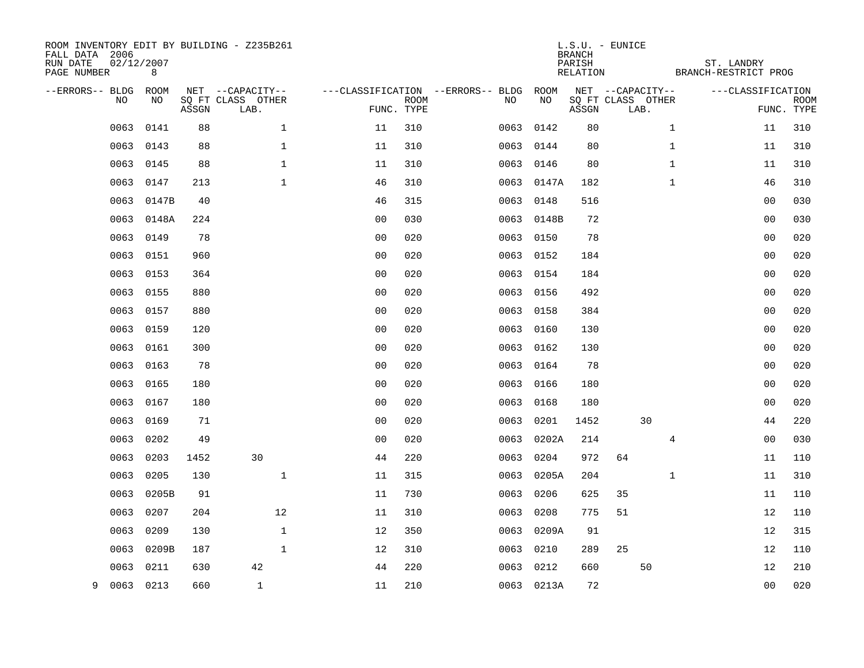| ROOM INVENTORY EDIT BY BUILDING - Z235B261<br>FALL DATA 2006<br>RUN DATE<br>PAGE NUMBER | 02/12/2007<br>8 |           |                                       |                      |             |                                         |                    | <b>BRANCH</b><br>PARISH<br>RELATION | L.S.U. - EUNICE                       | ST. LANDRY<br>BRANCH-RESTRICT PROG |                      |             |
|-----------------------------------------------------------------------------------------|-----------------|-----------|---------------------------------------|----------------------|-------------|-----------------------------------------|--------------------|-------------------------------------|---------------------------------------|------------------------------------|----------------------|-------------|
| --ERRORS-- BLDG<br>NO                                                                   | ROOM<br>NO.     |           | NET --CAPACITY--<br>SO FT CLASS OTHER |                      | <b>ROOM</b> | ---CLASSIFICATION --ERRORS-- BLDG<br>NO | ROOM<br>NO         |                                     | NET --CAPACITY--<br>SQ FT CLASS OTHER | ---CLASSIFICATION                  |                      | <b>ROOM</b> |
|                                                                                         |                 | ASSGN     | LAB.                                  |                      | FUNC. TYPE  |                                         |                    | ASSGN                               | LAB.                                  |                                    |                      | FUNC. TYPE  |
| 0063                                                                                    | 0141            | 88        | $\mathbf{1}$                          | 11                   | 310         | 0063                                    | 0142               | 80                                  |                                       | $\mathbf{1}$                       | 11                   | 310         |
| 0063                                                                                    | 0143            | 88        | $\mathbf 1$                           | 11                   | 310         | 0063                                    | 0144               | 80                                  |                                       | $\mathbf{1}$                       | 11                   | 310         |
| 0063                                                                                    | 0145            | 88        | $\mathbf{1}$<br>$\mathbf{1}$          | 11                   | 310         | 0063                                    | 0146               | 80                                  |                                       | $\mathbf{1}$<br>$\mathbf{1}$       | 11                   | 310<br>310  |
| 0063                                                                                    | 0147            | 213<br>40 |                                       | 46                   | 310<br>315  |                                         | 0063 0147A         | 182                                 |                                       |                                    | 46<br>0 <sub>0</sub> | 030         |
| 0063<br>0063                                                                            | 0147B<br>0148A  | 224       |                                       | 46<br>0 <sub>0</sub> | 030         | 0063                                    | 0148<br>0063 0148B | 516<br>72                           |                                       |                                    | 0 <sub>0</sub>       | 030         |
| 0063                                                                                    | 0149            | 78        |                                       | 0 <sub>0</sub>       | 020         | 0063                                    | 0150               | 78                                  |                                       |                                    | 0 <sub>0</sub>       | 020         |
| 0063                                                                                    | 0151            | 960       |                                       | 0 <sub>0</sub>       | 020         |                                         | 0063 0152          | 184                                 |                                       |                                    | 0 <sub>0</sub>       | 020         |
| 0063                                                                                    | 0153            | 364       |                                       | 0 <sub>0</sub>       | 020         | 0063                                    | 0154               | 184                                 |                                       |                                    | 0 <sub>0</sub>       | 020         |
| 0063                                                                                    | 0155            | 880       |                                       | 0 <sub>0</sub>       | 020         |                                         | 0063 0156          | 492                                 |                                       |                                    | 0 <sub>0</sub>       | 020         |
| 0063                                                                                    | 0157            | 880       |                                       | 0 <sub>0</sub>       | 020         | 0063                                    | 0158               | 384                                 |                                       |                                    | 0 <sub>0</sub>       | 020         |
| 0063                                                                                    | 0159            | 120       |                                       | 0 <sub>0</sub>       | 020         |                                         | 0063 0160          | 130                                 |                                       |                                    | 0 <sub>0</sub>       | 020         |
| 0063                                                                                    | 0161            | 300       |                                       | 0 <sub>0</sub>       | 020         | 0063                                    | 0162               | 130                                 |                                       |                                    | 0 <sub>0</sub>       | 020         |
| 0063                                                                                    | 0163            | 78        |                                       | 0 <sub>0</sub>       | 020         |                                         | 0063 0164          | 78                                  |                                       |                                    | 0 <sub>0</sub>       | 020         |
| 0063                                                                                    | 0165            | 180       |                                       | 0 <sub>0</sub>       | 020         | 0063                                    | 0166               | 180                                 |                                       |                                    | 0 <sub>0</sub>       | 020         |
| 0063                                                                                    | 0167            | 180       |                                       | 0 <sub>0</sub>       | 020         | 0063                                    | 0168               | 180                                 |                                       |                                    | 0 <sub>0</sub>       | 020         |
| 0063                                                                                    | 0169            | 71        |                                       | 0 <sub>0</sub>       | 020         | 0063                                    | 0201               | 1452                                | 30                                    |                                    | 44                   | 220         |
| 0063                                                                                    | 0202            | 49        |                                       | 0 <sub>0</sub>       | 020         | 0063                                    | 0202A              | 214                                 |                                       | 4                                  | 0 <sub>0</sub>       | 030         |
| 0063                                                                                    | 0203            | 1452      | 30                                    | 44                   | 220         | 0063                                    | 0204               | 972                                 | 64                                    |                                    | 11                   | 110         |
| 0063                                                                                    | 0205            | 130       | $\mathbf{1}$                          | 11                   | 315         | 0063                                    | 0205A              | 204                                 |                                       | $\mathbf{1}$                       | 11                   | 310         |
| 0063                                                                                    | 0205B           | 91        |                                       | 11                   | 730         | 0063                                    | 0206               | 625                                 | 35                                    |                                    | 11                   | 110         |
| 0063                                                                                    | 0207            | 204       | 12                                    | 11                   | 310         | 0063                                    | 0208               | 775                                 | 51                                    |                                    | 12                   | 110         |
| 0063                                                                                    | 0209            | 130       | $\mathbf 1$                           | 12                   | 350         | 0063                                    | 0209A              | 91                                  |                                       |                                    | 12                   | 315         |
| 0063                                                                                    | 0209B           | 187       | $\mathbf{1}$                          | 12                   | 310         | 0063                                    | 0210               | 289                                 | 25                                    |                                    | 12                   | 110         |
| 0063                                                                                    | 0211            | 630       | 42                                    | 44                   | 220         | 0063                                    | 0212               | 660                                 | 50                                    |                                    | 12                   | 210         |
| 9                                                                                       | 0063 0213       | 660       | $\mathbf{1}$                          | 11                   | 210         |                                         | 0063 0213A         | 72                                  |                                       |                                    | 0 <sub>0</sub>       | 020         |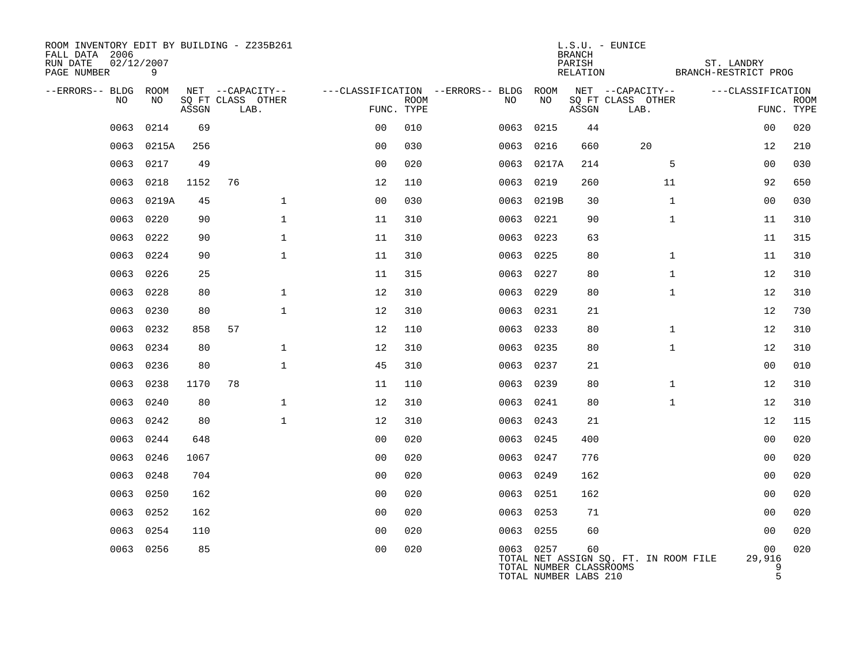| ROOM INVENTORY EDIT BY BUILDING - Z235B261<br>FALL DATA 2006<br>RUN DATE<br>PAGE NUMBER | 02/12/2007<br>9 |       |                                               |                |             |                                              |            | $L.S.U. - EUNICE$<br><b>BRANCH</b><br>PARISH<br>RELATION |                                               | ST. LANDRY<br>BRANCH-RESTRICT PROG |                           |
|-----------------------------------------------------------------------------------------|-----------------|-------|-----------------------------------------------|----------------|-------------|----------------------------------------------|------------|----------------------------------------------------------|-----------------------------------------------|------------------------------------|---------------------------|
| --ERRORS-- BLDG ROOM<br>NO.                                                             | NO.             | ASSGN | NET --CAPACITY--<br>SQ FT CLASS OTHER<br>LAB. | FUNC. TYPE     | <b>ROOM</b> | ---CLASSIFICATION --ERRORS-- BLDG ROOM<br>NO | NO         | ASSGN                                                    | NET --CAPACITY--<br>SQ FT CLASS OTHER<br>LAB. | ---CLASSIFICATION                  | <b>ROOM</b><br>FUNC. TYPE |
| 0063                                                                                    | 0214            | 69    |                                               | 0 <sup>0</sup> | 010         | 0063                                         | 0215       | 44                                                       |                                               | 00                                 | 020                       |
| 0063                                                                                    | 0215A           | 256   |                                               | 0 <sub>0</sub> | 030         | 0063                                         | 0216       | 660                                                      | 20                                            | 12                                 | 210                       |
| 0063                                                                                    | 0217            | 49    |                                               | 0 <sub>0</sub> | 020         |                                              | 0063 0217A | 214                                                      | 5                                             | 00                                 | 030                       |
| 0063                                                                                    | 0218            | 1152  | 76                                            | 12             | 110         | 0063                                         | 0219       | 260                                                      | 11                                            | 92                                 | 650                       |
| 0063                                                                                    | 0219A           | 45    | $\mathbf 1$                                   | 0 <sub>0</sub> | 030         |                                              | 0063 0219B | 30                                                       | $\mathbf{1}$                                  | 00                                 | 030                       |
| 0063                                                                                    | 0220            | 90    | $\mathbf 1$                                   | 11             | 310         | 0063 0221                                    |            | 90                                                       | $\mathbf{1}$                                  | 11                                 | 310                       |
|                                                                                         | 0063 0222       | 90    | $\mathbf{1}$                                  | 11             | 310         | 0063 0223                                    |            | 63                                                       |                                               | 11                                 | 315                       |
| 0063                                                                                    | 0224            | 90    | $\mathbf{1}$                                  | 11             | 310         | 0063 0225                                    |            | 80                                                       | $\mathbf{1}$                                  | 11                                 | 310                       |
|                                                                                         | 0063 0226       | 25    |                                               | 11             | 315         | 0063 0227                                    |            | 80                                                       | $\mathbf{1}$                                  | 12                                 | 310                       |
| 0063                                                                                    | 0228            | 80    | $\mathbf{1}$                                  | 12             | 310         | 0063 0229                                    |            | 80                                                       | $\mathbf{1}$                                  | 12                                 | 310                       |
| 0063                                                                                    | 0230            | 80    | $\mathbf{1}$                                  | 12             | 310         | 0063                                         | 0231       | 21                                                       |                                               | 12                                 | 730                       |
| 0063                                                                                    | 0232            | 858   | 57                                            | 12             | 110         | 0063 0233                                    |            | 80                                                       | $\mathbf{1}$                                  | 12                                 | 310                       |
| 0063                                                                                    | 0234            | 80    | $\mathbf{1}$                                  | 12             | 310         | 0063 0235                                    |            | 80                                                       | $\mathbf{1}$                                  | 12                                 | 310                       |
| 0063                                                                                    | 0236            | 80    | $\mathbf{1}$                                  | 45             | 310         | 0063 0237                                    |            | 21                                                       |                                               | 00                                 | 010                       |
| 0063                                                                                    | 0238            | 1170  | 78                                            | 11             | 110         | 0063                                         | 0239       | 80                                                       | $\mathbf{1}$                                  | 12                                 | 310                       |
| 0063                                                                                    | 0240            | 80    | $\mathbf{1}$                                  | 12             | 310         | 0063 0241                                    |            | 80                                                       | $\mathbf{1}$                                  | 12                                 | 310                       |
| 0063                                                                                    | 0242            | 80    | $\mathbf{1}$                                  | 12             | 310         | 0063 0243                                    |            | 21                                                       |                                               | 12                                 | 115                       |
| 0063                                                                                    | 0244            | 648   |                                               | 0 <sub>0</sub> | 020         | 0063 0245                                    |            | 400                                                      |                                               | 0 <sub>0</sub>                     | 020                       |
| 0063                                                                                    | 0246            | 1067  |                                               | 0 <sub>0</sub> | 020         | 0063                                         | 0247       | 776                                                      |                                               | 0 <sub>0</sub>                     | 020                       |
| 0063                                                                                    | 0248            | 704   |                                               | 0 <sub>0</sub> | 020         | 0063 0249                                    |            | 162                                                      |                                               | 0 <sub>0</sub>                     | 020                       |
| 0063                                                                                    | 0250            | 162   |                                               | 0 <sub>0</sub> | 020         | 0063 0251                                    |            | 162                                                      |                                               | 00                                 | 020                       |
| 0063                                                                                    | 0252            | 162   |                                               | 0 <sub>0</sub> | 020         | 0063 0253                                    |            | 71                                                       |                                               | 00                                 | 020                       |
| 0063                                                                                    | 0254            | 110   |                                               | 0 <sub>0</sub> | 020         | 0063                                         | 0255       | 60                                                       |                                               | 00                                 | 020                       |
|                                                                                         | 0063 0256       | 85    |                                               | 0 <sub>0</sub> | 020         | 0063 0257                                    |            | 60<br>TOTAL NUMBER CLASSROOMS<br>TOTAL NUMBER LABS 210   | TOTAL NET ASSIGN SQ. FT. IN ROOM FILE         | 00<br>29,916                       | 020<br>9<br>5             |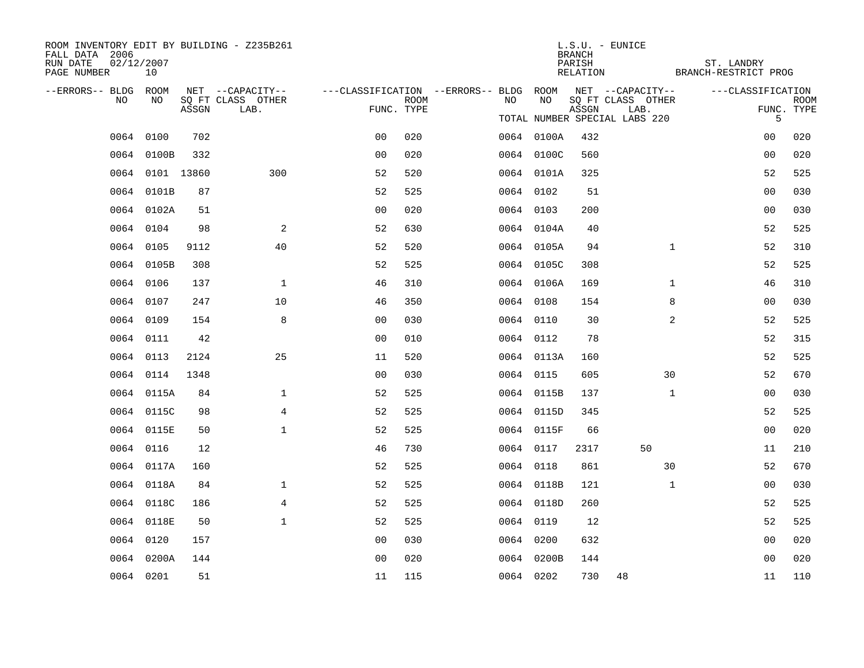| ROOM INVENTORY EDIT BY BUILDING - Z235B261<br>FALL DATA 2006<br>RUN DATE<br>PAGE NUMBER | 02/12/2007<br>10 |       |                                       |                                                         |             |    |            | <b>BRANCH</b><br>PARISH<br>RELATION | $L.S.U. - EUNICE$                     |              | ST. LANDRY<br>BRANCH-RESTRICT PROG |                 |
|-----------------------------------------------------------------------------------------|------------------|-------|---------------------------------------|---------------------------------------------------------|-------------|----|------------|-------------------------------------|---------------------------------------|--------------|------------------------------------|-----------------|
| --ERRORS-- BLDG ROOM<br>NO.                                                             | NO.              |       | NET --CAPACITY--<br>SQ FT CLASS OTHER | ---CLASSIFICATION --ERRORS-- BLDG ROOM NET --CAPACITY-- | <b>ROOM</b> | NO | NO.        |                                     | SQ FT CLASS OTHER                     |              | ---CLASSIFICATION                  | <b>ROOM</b>     |
|                                                                                         |                  | ASSGN | LAB.                                  | FUNC. TYPE                                              |             |    |            | ASSGN                               | LAB.<br>TOTAL NUMBER SPECIAL LABS 220 |              |                                    | FUNC. TYPE<br>5 |
|                                                                                         | 0064 0100        | 702   |                                       | 0 <sub>0</sub>                                          | 020         |    | 0064 0100A | 432                                 |                                       |              | 0 <sub>0</sub>                     | 020             |
|                                                                                         | 0064 0100B       | 332   |                                       | 0 <sub>0</sub>                                          | 020         |    | 0064 0100C | 560                                 |                                       |              | 0 <sub>0</sub>                     | 020             |
|                                                                                         | 0064 0101 13860  |       | 300                                   | 52                                                      | 520         |    | 0064 0101A | 325                                 |                                       |              | 52                                 | 525             |
|                                                                                         | 0064 0101B       | 87    |                                       | 52                                                      | 525         |    | 0064 0102  | 51                                  |                                       |              | 0 <sub>0</sub>                     | 030             |
|                                                                                         | 0064 0102A       | 51    |                                       | 0 <sub>0</sub>                                          | 020         |    | 0064 0103  | 200                                 |                                       |              | 00                                 | 030             |
|                                                                                         | 0064 0104        | 98    | 2                                     | 52                                                      | 630         |    | 0064 0104A | 40                                  |                                       |              | 52                                 | 525             |
|                                                                                         | 0064 0105        | 9112  | 40                                    | 52                                                      | 520         |    | 0064 0105A | 94                                  |                                       | $\mathbf{1}$ | 52                                 | 310             |
|                                                                                         | 0064 0105B       | 308   |                                       | 52                                                      | 525         |    | 0064 0105C | 308                                 |                                       |              | 52                                 | 525             |
|                                                                                         | 0064 0106        | 137   | $\mathbf{1}$                          | 46                                                      | 310         |    | 0064 0106A | 169                                 |                                       | $\mathbf{1}$ | 46                                 | 310             |
|                                                                                         | 0064 0107        | 247   | 10                                    | 46                                                      | 350         |    | 0064 0108  | 154                                 |                                       | 8            | 00                                 | 030             |
|                                                                                         | 0064 0109        | 154   | 8                                     | 00                                                      | 030         |    | 0064 0110  | 30                                  |                                       | 2            | 52                                 | 525             |
|                                                                                         | 0064 0111        | 42    |                                       | 0 <sub>0</sub>                                          | 010         |    | 0064 0112  | 78                                  |                                       |              | 52                                 | 315             |
|                                                                                         | 0064 0113        | 2124  | 25                                    | 11                                                      | 520         |    | 0064 0113A | 160                                 |                                       |              | 52                                 | 525             |
|                                                                                         | 0064 0114        | 1348  |                                       | 0 <sub>0</sub>                                          | 030         |    | 0064 0115  | 605                                 |                                       | 30           | 52                                 | 670             |
|                                                                                         | 0064 0115A       | 84    | $\mathbf 1$                           | 52                                                      | 525         |    | 0064 0115B | 137                                 |                                       | $\mathbf{1}$ | 0 <sub>0</sub>                     | 030             |
|                                                                                         | 0064 0115C       | 98    | $\overline{4}$                        | 52                                                      | 525         |    | 0064 0115D | 345                                 |                                       |              | 52                                 | 525             |
|                                                                                         | 0064 0115E       | 50    | $\mathbf{1}$                          | 52                                                      | 525         |    | 0064 0115F | 66                                  |                                       |              | 0 <sub>0</sub>                     | 020             |
|                                                                                         | 0064 0116        | 12    |                                       | 46                                                      | 730         |    | 0064 0117  | 2317                                | 50                                    |              | 11                                 | 210             |
|                                                                                         | 0064 0117A       | 160   |                                       | 52                                                      | 525         |    | 0064 0118  | 861                                 |                                       | 30           | 52                                 | 670             |
|                                                                                         | 0064 0118A       | 84    | $\mathbf 1$                           | 52                                                      | 525         |    | 0064 0118B | 121                                 |                                       | $\mathbf{1}$ | 00                                 | 030             |
|                                                                                         | 0064 0118C       | 186   | $\overline{4}$                        | 52                                                      | 525         |    | 0064 0118D | 260                                 |                                       |              | 52                                 | 525             |
|                                                                                         | 0064 0118E       | 50    | $\mathbf{1}$                          | 52                                                      | 525         |    | 0064 0119  | 12                                  |                                       |              | 52                                 | 525             |
|                                                                                         | 0064 0120        | 157   |                                       | 00                                                      | 030         |    | 0064 0200  | 632                                 |                                       |              | 0 <sub>0</sub>                     | 020             |
|                                                                                         | 0064 0200A       | 144   |                                       | 0 <sub>0</sub>                                          | 020         |    | 0064 0200B | 144                                 |                                       |              | 00                                 | 020             |
|                                                                                         | 0064 0201        | 51    |                                       | 11                                                      | 115         |    | 0064 0202  | 730                                 | 48                                    |              | 11                                 | 110             |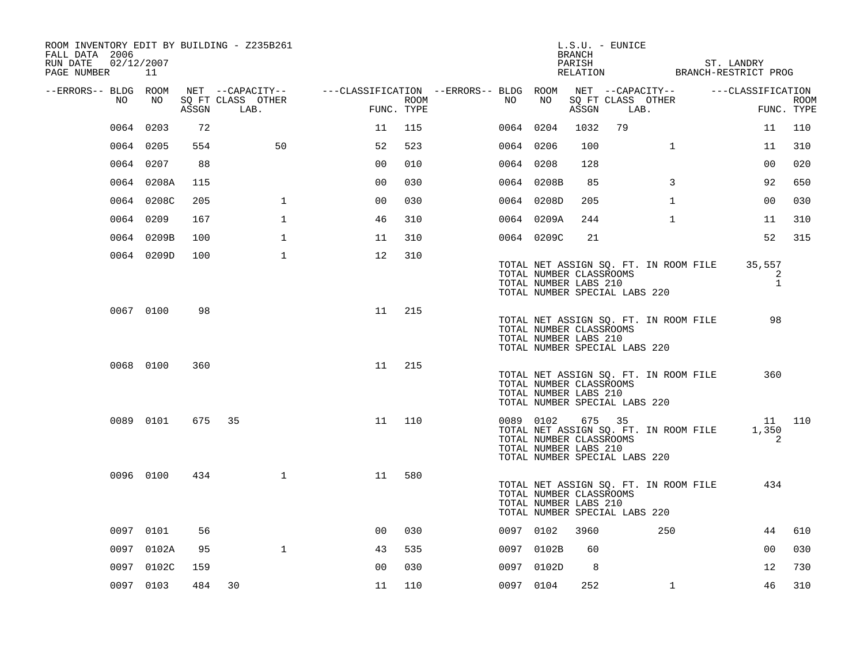| ROOM INVENTORY EDIT BY BUILDING - Z235B261<br>FALL DATA 2006<br>RUN DATE<br>02/12/2007<br>PAGE NUMBER 11 |            |       |                           |                |      | $L.S.U. - EUNICE$<br>BRANCH<br>PARISH<br>ST. LANDRY<br>RELATION BRANCH-RESTRICT PROG                                                                       |                           |
|----------------------------------------------------------------------------------------------------------|------------|-------|---------------------------|----------------|------|------------------------------------------------------------------------------------------------------------------------------------------------------------|---------------------------|
| --ERRORS-- BLDG ROOM                                                                                     |            |       |                           |                |      | NET --CAPACITY--<br>NET --CAPACITY-- ----CLASSIFICATION --ERRORS-- BLDG ROOM<br>---CLASSIFICATION                                                          |                           |
| NO                                                                                                       | NO         | ASSGN | SQ FT CLASS OTHER<br>LAB. | FUNC. TYPE     | ROOM | SQ FT CLASS OTHER<br>NO<br>NO<br>ASSGN<br>LAB.                                                                                                             | <b>ROOM</b><br>FUNC. TYPE |
| 0064                                                                                                     | 0203       | 72    |                           | 11             | 115  | 79<br>0064 0204<br>1032<br>11                                                                                                                              | 110                       |
|                                                                                                          | 0064 0205  | 554   | 50                        | 52             | 523  | 0064 0206<br>100<br>$\mathbf{1}$<br>11                                                                                                                     | 310                       |
|                                                                                                          | 0064 0207  | 88    |                           | 0 <sub>0</sub> | 010  | 0064 0208<br>128<br>00                                                                                                                                     | 020                       |
|                                                                                                          | 0064 0208A | 115   |                           | 0 <sub>0</sub> | 030  | 0064 0208B<br>3<br>92<br>85                                                                                                                                | 650                       |
|                                                                                                          | 0064 0208C | 205   | $\mathbf 1$               | 00             | 030  | 0064 0208D<br>$\mathbf{1}$<br>00<br>205                                                                                                                    | 030                       |
|                                                                                                          | 0064 0209  | 167   | $\mathbf{1}$              | 46             | 310  | 0064 0209A<br>244<br>$\mathbf{1}$<br>11                                                                                                                    | 310                       |
|                                                                                                          | 0064 0209B | 100   | $\mathbf{1}$              | 11             | 310  | 52<br>0064 0209C<br>21                                                                                                                                     | 315                       |
|                                                                                                          | 0064 0209D | 100   | 1                         | 12             | 310  | 35,557<br>TOTAL NET ASSIGN SQ. FT. IN ROOM FILE<br>TOTAL NUMBER CLASSROOMS<br>TOTAL NUMBER LABS 210<br>TOTAL NUMBER SPECIAL LABS 220                       | 2<br>$\mathbf{1}$         |
|                                                                                                          | 0067 0100  | 98    |                           | 11             | 215  | 98<br>TOTAL NET ASSIGN SQ. FT. IN ROOM FILE<br>TOTAL NUMBER CLASSROOMS<br>TOTAL NUMBER LABS 210<br>TOTAL NUMBER SPECIAL LABS 220                           |                           |
|                                                                                                          | 0068 0100  | 360   |                           | 11             | 215  | 360<br>TOTAL NET ASSIGN SQ. FT. IN ROOM FILE<br>TOTAL NUMBER CLASSROOMS<br>TOTAL NUMBER LABS 210<br>TOTAL NUMBER SPECIAL LABS 220                          |                           |
|                                                                                                          | 0089 0101  | 675   | 35                        | 11             | 110  | 0089 0102<br>675 35<br>TOTAL NET ASSIGN SQ. FT. IN ROOM FILE<br>1,350<br>TOTAL NUMBER CLASSROOMS<br>TOTAL NUMBER LABS 210<br>TOTAL NUMBER SPECIAL LABS 220 | 11 110<br>2               |
|                                                                                                          | 0096 0100  | 434   | $\mathbf{1}$              | 11             | 580  | 434<br>TOTAL NET ASSIGN SQ. FT. IN ROOM FILE<br>TOTAL NUMBER CLASSROOMS<br>TOTAL NUMBER LABS 210<br>TOTAL NUMBER SPECIAL LABS 220                          |                           |
|                                                                                                          | 0097 0101  | 56    |                           | 00             | 030  | 0097 0102<br>3960<br>250<br>44                                                                                                                             | 610                       |
|                                                                                                          | 0097 0102A | 95    | $\mathbf{1}$              | 43             | 535  | 0 <sub>0</sub><br>0097 0102B<br>60                                                                                                                         | 030                       |
|                                                                                                          | 0097 0102C | 159   |                           | 0 <sub>0</sub> | 030  | 0097 0102D<br>8<br>12                                                                                                                                      | 730                       |
|                                                                                                          | 0097 0103  | 484   | 30                        | 11             | 110  | 0097 0104<br>252<br>$\mathbf{1}$<br>46                                                                                                                     | 310                       |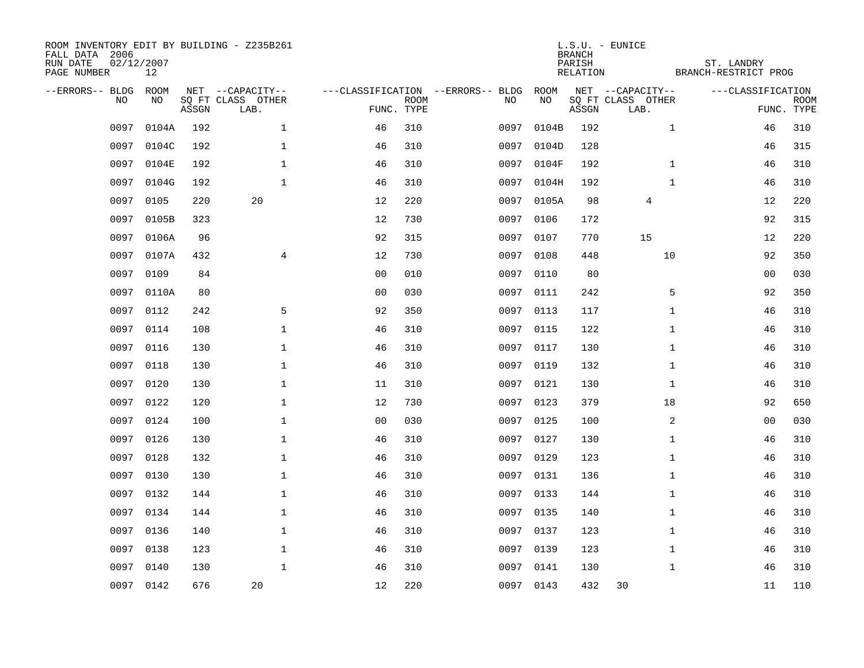| ROOM INVENTORY EDIT BY BUILDING - Z235B261<br>FALL DATA 2006<br>RUN DATE<br>PAGE NUMBER | 02/12/2007<br>12 |       |                           |                |             |                                   |           | <b>BRANCH</b><br>PARISH<br>RELATION | L.S.U. - EUNICE           | ST. LANDRY<br>BRANCH-RESTRICT PROG |                           |
|-----------------------------------------------------------------------------------------|------------------|-------|---------------------------|----------------|-------------|-----------------------------------|-----------|-------------------------------------|---------------------------|------------------------------------|---------------------------|
| --ERRORS-- BLDG                                                                         | ROOM             |       | NET --CAPACITY--          |                |             | ---CLASSIFICATION --ERRORS-- BLDG | ROOM      |                                     | NET --CAPACITY--          | ---CLASSIFICATION                  |                           |
| NO.                                                                                     | NO               | ASSGN | SQ FT CLASS OTHER<br>LAB. | FUNC. TYPE     | <b>ROOM</b> | NO                                | NO        | ASSGN                               | SQ FT CLASS OTHER<br>LAB. |                                    | <b>ROOM</b><br>FUNC. TYPE |
| 0097                                                                                    | 0104A            | 192   | $\mathbf{1}$              | 46             | 310         | 0097                              | 0104B     | 192                                 |                           | $\mathbf{1}$<br>46                 | 310                       |
| 0097                                                                                    | 0104C            | 192   | $\mathbf 1$               | 46             | 310         | 0097                              | 0104D     | 128                                 |                           | 46                                 | 315                       |
| 0097                                                                                    | 0104E            | 192   | $\mathbf{1}$              | 46             | 310         | 0097                              | 0104F     | 192                                 |                           | $\mathbf{1}$<br>46                 | 310                       |
| 0097                                                                                    | 0104G            | 192   | $\mathbf{1}$              | 46             | 310         | 0097                              | 0104H     | 192                                 |                           | $\mathbf{1}$<br>46                 | 310                       |
| 0097                                                                                    | 0105             | 220   | 20                        | 12             | 220         | 0097                              | 0105A     | 98                                  | 4                         | 12                                 | 220                       |
| 0097                                                                                    | 0105B            | 323   |                           | 12             | 730         | 0097                              | 0106      | 172                                 |                           | 92                                 | 315                       |
| 0097                                                                                    | 0106A            | 96    |                           | 92             | 315         | 0097                              | 0107      | 770                                 | 15                        | 12                                 | 220                       |
| 0097                                                                                    | 0107A            | 432   | 4                         | 12             | 730         |                                   | 0097 0108 | 448                                 | 10                        | 92                                 | 350                       |
| 0097                                                                                    | 0109             | 84    |                           | 0 <sub>0</sub> | 010         | 0097                              | 0110      | 80                                  |                           | 00                                 | 030                       |
| 0097                                                                                    | 0110A            | 80    |                           | 0 <sub>0</sub> | 030         |                                   | 0097 0111 | 242                                 |                           | 92<br>5                            | 350                       |
| 0097                                                                                    | 0112             | 242   | 5                         | 92             | 350         | 0097                              | 0113      | 117                                 |                           | $\mathbf{1}$<br>46                 | 310                       |
|                                                                                         | 0097 0114        | 108   | $\mathbf 1$               | 46             | 310         |                                   | 0097 0115 | 122                                 |                           | $\mathbf{1}$<br>46                 | 310                       |
| 0097                                                                                    | 0116             | 130   | $\mathbf{1}$              | 46             | 310         | 0097                              | 0117      | 130                                 |                           | $\mathbf{1}$<br>46                 | 310                       |
| 0097                                                                                    | 0118             | 130   | $\mathbf{1}$              | 46             | 310         | 0097                              | 0119      | 132                                 |                           | $\mathbf{1}$<br>46                 | 310                       |
| 0097                                                                                    | 0120             | 130   | 1                         | 11             | 310         | 0097                              | 0121      | 130                                 |                           | 1<br>46                            | 310                       |
| 0097                                                                                    | 0122             | 120   | $\mathbf 1$               | 12             | 730         |                                   | 0097 0123 | 379                                 | 18                        | 92                                 | 650                       |
| 0097                                                                                    | 0124             | 100   | $\mathbf 1$               | 0 <sub>0</sub> | 030         | 0097                              | 0125      | 100                                 |                           | 2<br>00                            | 030                       |
| 0097                                                                                    | 0126             | 130   | $\mathbf 1$               | 46             | 310         | 0097                              | 0127      | 130                                 |                           | $\mathbf{1}$<br>46                 | 310                       |
| 0097                                                                                    | 0128             | 132   | $\mathbf 1$               | 46             | 310         |                                   | 0097 0129 | 123                                 |                           | $\mathbf{1}$<br>46                 | 310                       |
| 0097                                                                                    | 0130             | 130   | $\mathbf 1$               | 46             | 310         | 0097                              | 0131      | 136                                 |                           | $\mathbf{1}$<br>46                 | 310                       |
| 0097                                                                                    | 0132             | 144   | $\mathbf{1}$              | 46             | 310         |                                   | 0097 0133 | 144                                 |                           | $\mathbf{1}$<br>46                 | 310                       |
| 0097                                                                                    | 0134             | 144   | $\mathbf{1}$              | 46             | 310         | 0097                              | 0135      | 140                                 |                           | $\mathbf{1}$<br>46                 | 310                       |
| 0097                                                                                    | 0136             | 140   | $\mathbf{1}$              | 46             | 310         |                                   | 0097 0137 | 123                                 |                           | $\mathbf{1}$<br>46                 | 310                       |
| 0097                                                                                    | 0138             | 123   | $\mathbf 1$               | 46             | 310         | 0097                              | 0139      | 123                                 |                           | $\mathbf{1}$<br>46                 | 310                       |
| 0097                                                                                    | 0140             | 130   | $\mathbf{1}$              | 46             | 310         |                                   | 0097 0141 | 130                                 |                           | $\mathbf{1}$<br>46                 | 310                       |
|                                                                                         | 0097 0142        | 676   | 20                        | 12             | 220         |                                   | 0097 0143 | 432                                 | 30                        | 11                                 | 110                       |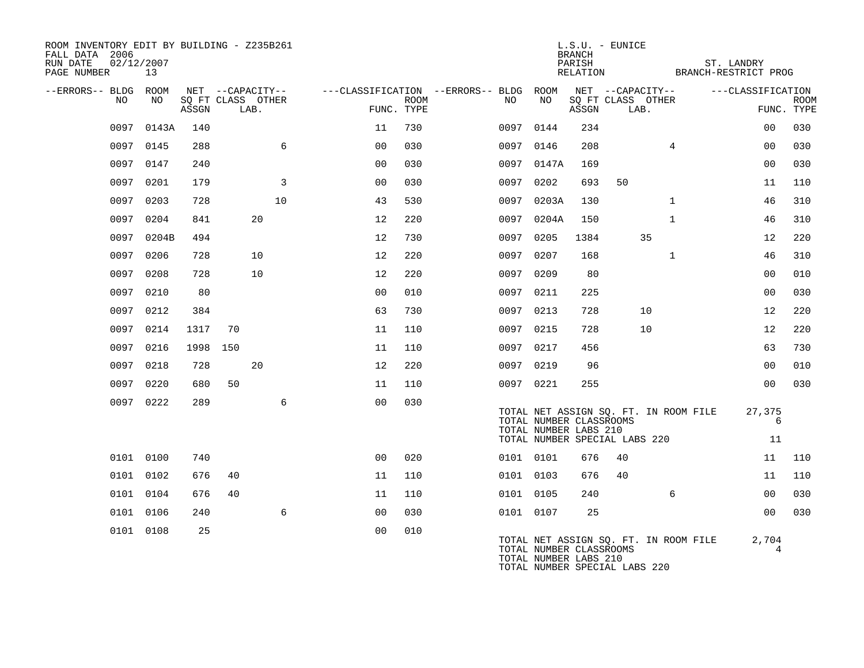| ROOM INVENTORY EDIT BY BUILDING - Z235B261<br>FALL DATA 2006<br>RUN DATE<br>PAGE NUMBER | 02/12/2007<br>13 |       |                                               |    |                |             |                                                                |                                                  | BRANCH<br>PARISH | L.S.U. - EUNICE<br>RELATION BRANCH-RESTRICT PROG                       |              | ST. LANDRY        |                           |
|-----------------------------------------------------------------------------------------|------------------|-------|-----------------------------------------------|----|----------------|-------------|----------------------------------------------------------------|--------------------------------------------------|------------------|------------------------------------------------------------------------|--------------|-------------------|---------------------------|
| --ERRORS-- BLDG ROOM<br>NO.                                                             | NO               | ASSGN | NET --CAPACITY--<br>SO FT CLASS OTHER<br>LAB. |    | FUNC. TYPE     | <b>ROOM</b> | ---CLASSIFICATION --ERRORS-- BLDG ROOM NET --CAPACITY--<br>NO. | NO                                               | ASSGN            | SO FT CLASS OTHER<br>LAB.                                              |              | ---CLASSIFICATION | <b>ROOM</b><br>FUNC. TYPE |
|                                                                                         | 0097 0143A       | 140   |                                               |    | 11             | 730         |                                                                | 0097 0144                                        | 234              |                                                                        |              | 00                | 030                       |
|                                                                                         | 0097 0145        | 288   |                                               | 6  | 0 <sub>0</sub> | 030         |                                                                | 0097 0146                                        | 208              |                                                                        | 4            | 0 <sub>0</sub>    | 030                       |
| 0097                                                                                    | 0147             | 240   |                                               |    | 00             | 030         |                                                                | 0097 0147A                                       | 169              |                                                                        |              | 0 <sub>0</sub>    | 030                       |
|                                                                                         | 0097 0201        | 179   |                                               | 3  | 0 <sub>0</sub> | 030         |                                                                | 0097 0202                                        | 693              | 50                                                                     |              | 11                | 110                       |
|                                                                                         | 0097 0203        | 728   |                                               | 10 | 43             | 530         |                                                                | 0097 0203A                                       | 130              |                                                                        | $\mathbf{1}$ | 46                | 310                       |
| 0097                                                                                    | 0204             | 841   |                                               | 20 | 12             | 220         | 0097                                                           | 0204A                                            | 150              |                                                                        | $\mathbf{1}$ | 46                | 310                       |
|                                                                                         | 0097 0204B       | 494   |                                               |    | 12             | 730         |                                                                | 0097 0205                                        | 1384             | 35                                                                     |              | 12                | 220                       |
|                                                                                         | 0097 0206        | 728   |                                               | 10 | 12             | 220         |                                                                | 0097 0207                                        | 168              |                                                                        | $\mathbf{1}$ | 46                | 310                       |
| 0097                                                                                    | 0208             | 728   |                                               | 10 | 12             | 220         | 0097                                                           | 0209                                             | 80               |                                                                        |              | 0 <sub>0</sub>    | 010                       |
|                                                                                         | 0097 0210        | 80    |                                               |    | 0 <sub>0</sub> | 010         |                                                                | 0097 0211                                        | 225              |                                                                        |              | 00                | 030                       |
| 0097                                                                                    | 0212             | 384   |                                               |    | 63             | 730         |                                                                | 0097 0213                                        | 728              | 10                                                                     |              | 12                | 220                       |
|                                                                                         | 0097 0214        | 1317  | 70                                            |    | 11             | 110         |                                                                | 0097 0215                                        | 728              | 10                                                                     |              | 12                | 220                       |
| 0097                                                                                    | 0216             | 1998  | 150                                           |    | 11             | 110         |                                                                | 0097 0217                                        | 456              |                                                                        |              | 63                | 730                       |
|                                                                                         | 0097 0218        | 728   |                                               | 20 | 12             | 220         |                                                                | 0097 0219                                        | 96               |                                                                        |              | 0 <sub>0</sub>    | 010                       |
|                                                                                         | 0097 0220        | 680   | 50                                            |    | 11             | 110         |                                                                | 0097 0221                                        | 255              |                                                                        |              | 0 <sub>0</sub>    | 030                       |
|                                                                                         | 0097 0222        | 289   |                                               | 6  | 0 <sub>0</sub> | 030         |                                                                | TOTAL NUMBER CLASSROOMS<br>TOTAL NUMBER LABS 210 |                  | TOTAL NET ASSIGN SQ. FT. IN ROOM FILE<br>TOTAL NUMBER SPECIAL LABS 220 |              | 27,375<br>6<br>11 |                           |
|                                                                                         | 0101 0100        | 740   |                                               |    | 0 <sub>0</sub> | 020         |                                                                | 0101 0101                                        | 676              | 40                                                                     |              | 11                | 110                       |
|                                                                                         | 0101 0102        | 676   | 40                                            |    | 11             | 110         |                                                                | 0101 0103                                        | 676              | 40                                                                     |              | 11                | 110                       |
|                                                                                         | 0101 0104        | 676   | 40                                            |    | 11             | 110         |                                                                | 0101 0105                                        | 240              |                                                                        | 6            | 0 <sub>0</sub>    | 030                       |
|                                                                                         | 0101 0106        | 240   |                                               | 6  | 0 <sub>0</sub> | 030         |                                                                | 0101 0107                                        | 25               |                                                                        |              | 0 <sub>0</sub>    | 030                       |
|                                                                                         | 0101 0108        | 25    |                                               |    | 0 <sub>0</sub> | 010         |                                                                | TOTAL NUMBER CLASSROOMS<br>TOTAL NUMBER LABS 210 |                  | TOTAL NET ASSIGN SQ. FT. IN ROOM FILE                                  |              | 2,704<br>4        |                           |

TOTAL NUMBER SPECIAL LABS 220